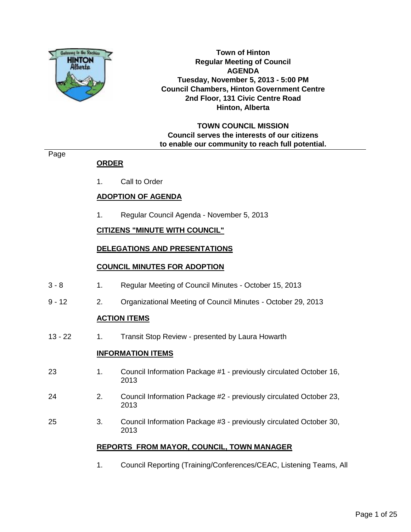

**Town of Hinton Regular Meeting of Council AGENDA Tuesday, November 5, 2013 - 5:00 PM Council Chambers, Hinton Government Centre 2nd Floor, 131 Civic Centre Road Hinton, Alberta**

#### **TOWN COUNCIL MISSION Council serves the interests of our citizens to enable our community to reach full potential.**

#### Page

#### **ORDER**

1. Call to Order

#### **ADOPTION OF AGENDA**

1. Regular Council Agenda - November 5, 2013

#### **CITIZENS "MINUTE WITH COUNCIL"**

#### **DELEGATIONS AND PRESENTATIONS**

#### **COUNCIL MINUTES FOR ADOPTION**

- 3 8 1. Regular Meeting of Council Minutes October 15, 2013
- 9 12 2. Organizational Meeting of Council Minutes October 29, 2013

#### **ACTION ITEMS**

13 - 22 1. Transit Stop Review - presented by Laura Howarth

#### **INFORMATION ITEMS**

- 23 1. Council Information Package #1 previously circulated October 16, 2013
- 24 2. Council Information Package #2 previously circulated October 23, 2013
- 25 3. Council Information Package #3 previously circulated October 30, 2013

#### **REPORTS FROM MAYOR, COUNCIL, TOWN MANAGER**

1. Council Reporting (Training/Conferences/CEAC, Listening Teams, All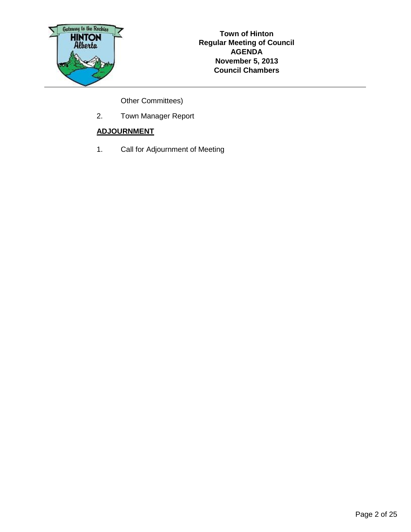

Other Committees)

2. Town Manager Report

#### **ADJOURNMENT**

1. Call for Adjournment of Meeting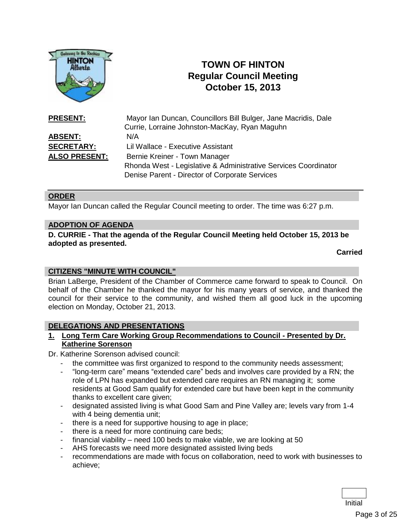

# **TOWN OF HINTON Regular Council Meeting October 15, 2013**

| <b>PRESENT:</b>      | Mayor Ian Duncan, Councillors Bill Bulger, Jane Macridis, Dale  |
|----------------------|-----------------------------------------------------------------|
|                      | Currie, Lorraine Johnston-MacKay, Ryan Maguhn                   |
| <b>ABSENT:</b>       | N/A                                                             |
| <b>SECRETARY:</b>    | Lil Wallace - Executive Assistant                               |
| <b>ALSO PRESENT:</b> | Bernie Kreiner - Town Manager                                   |
|                      | Rhonda West - Legislative & Administrative Services Coordinator |
|                      | Denise Parent - Director of Corporate Services                  |

#### **ORDER**

Mayor Ian Duncan called the Regular Council meeting to order. The time was 6:27 p.m.

#### **ADOPTION OF AGENDA**

**D. CURRIE - That the agenda of the Regular Council Meeting held October 15, 2013 be adopted as presented.**

**Carried**

#### **CITIZENS "MINUTE WITH COUNCIL"**

Brian LaBerge, President of the Chamber of Commerce came forward to speak to Council. On behalf of the Chamber he thanked the mayor for his many years of service, and thanked the council for their service to the community, and wished them all good luck in the upcoming election on Monday, October 21, 2013.

#### **DELEGATIONS AND PRESENTATIONS**

**1. Long Term Care Working Group Recommendations to Council - Presented by Dr. Katherine Sorenson**

Dr. Katherine Sorenson advised council:

- the committee was first organized to respond to the community needs assessment;
- "long-term care" means "extended care" beds and involves care provided by a RN; the role of LPN has expanded but extended care requires an RN managing it; some residents at Good Sam qualify for extended care but have been kept in the community thanks to excellent care given;
- designated assisted living is what Good Sam and Pine Valley are; levels vary from 1-4 with 4 being dementia unit;
- there is a need for supportive housing to age in place;
- there is a need for more continuing care beds;
- financial viability need 100 beds to make viable, we are looking at 50
- AHS forecasts we need more designated assisted living beds
- recommendations are made with focus on collaboration, need to work with businesses to achieve;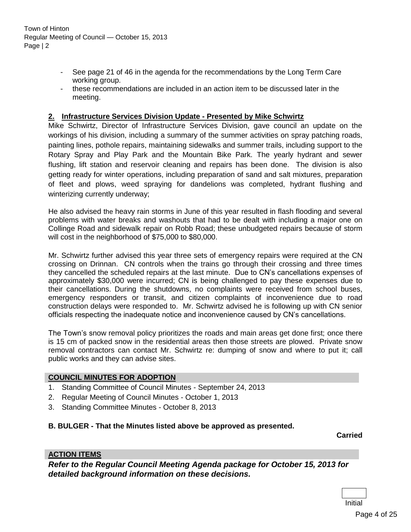- See page 21 of 46 in the agenda for the recommendations by the Long Term Care working group.
- these recommendations are included in an action item to be discussed later in the meeting.

#### **2. Infrastructure Services Division Update - Presented by Mike Schwirtz**

Mike Schwirtz, Director of Infrastructure Services Division, gave council an update on the workings of his division, including a summary of the summer activities on spray patching roads, painting lines, pothole repairs, maintaining sidewalks and summer trails, including support to the Rotary Spray and Play Park and the Mountain Bike Park. The yearly hydrant and sewer flushing, lift station and reservoir cleaning and repairs has been done. The division is also getting ready for winter operations, including preparation of sand and salt mixtures, preparation of fleet and plows, weed spraying for dandelions was completed, hydrant flushing and winterizing currently underway;

He also advised the heavy rain storms in June of this year resulted in flash flooding and several problems with water breaks and washouts that had to be dealt with including a major one on Collinge Road and sidewalk repair on Robb Road; these unbudgeted repairs because of storm will cost in the neighborhood of \$75,000 to \$80,000.

Mr. Schwirtz further advised this year three sets of emergency repairs were required at the CN crossing on Drinnan. CN controls when the trains go through their crossing and three times they cancelled the scheduled repairs at the last minute. Due to CN's cancellations expenses of approximately \$30,000 were incurred; CN is being challenged to pay these expenses due to their cancellations. During the shutdowns, no complaints were received from school buses, emergency responders or transit, and citizen complaints of inconvenience due to road construction delays were responded to. Mr. Schwirtz advised he is following up with CN senior officials respecting the inadequate notice and inconvenience caused by CN's cancellations.

The Town's snow removal policy prioritizes the roads and main areas get done first; once there is 15 cm of packed snow in the residential areas then those streets are plowed. Private snow removal contractors can contact Mr. Schwirtz re: dumping of snow and where to put it; call public works and they can advise sites.

#### **COUNCIL MINUTES FOR ADOPTION**

- 1. Standing Committee of Council Minutes September 24, 2013
- 2. Regular Meeting of Council Minutes October 1, 2013
- 3. Standing Committee Minutes October 8, 2013

#### **B. BULGER - That the Minutes listed above be approved as presented.**

**Carried**

#### **ACTION ITEMS**

*Refer to the Regular Council Meeting Agenda package for October 15, 2013 for detailed background information on these decisions.*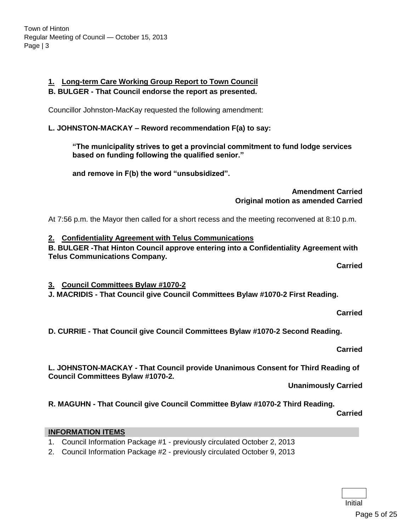# **1. Long-term Care Working Group Report to Town Council**

## **B. BULGER - That Council endorse the report as presented.**

Councillor Johnston-MacKay requested the following amendment:

# **L. JOHNSTON-MACKAY – Reword recommendation F(a) to say:**

**"The municipality strives to get a provincial commitment to fund lodge services based on funding following the qualified senior."**

**and remove in F(b) the word "unsubsidized".**

#### **Amendment Carried Original motion as amended Carried**

At 7:56 p.m. the Mayor then called for a short recess and the meeting reconvened at 8:10 p.m.

# **2. Confidentiality Agreement with Telus Communications**

**B. BULGER -That Hinton Council approve entering into a Confidentiality Agreement with Telus Communications Company.**

**Carried**

**3. Council Committees Bylaw #1070-2**

**J. MACRIDIS - That Council give Council Committees Bylaw #1070-2 First Reading.**

**Carried**

**D. CURRIE - That Council give Council Committees Bylaw #1070-2 Second Reading.**

**Carried**

**L. JOHNSTON-MACKAY - That Council provide Unanimous Consent for Third Reading of Council Committees Bylaw #1070-2.**

**Unanimously Carried**

**R. MAGUHN - That Council give Council Committee Bylaw #1070-2 Third Reading.**

**Carried**

# **INFORMATION ITEMS**

- 1. Council Information Package #1 previously circulated October 2, 2013
- 2. Council Information Package #2 previously circulated October 9, 2013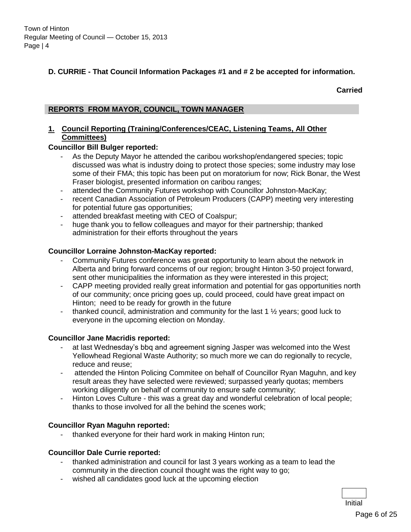#### **D. CURRIE - That Council Information Packages #1 and # 2 be accepted for information.**

#### **Carried**

#### **REPORTS FROM MAYOR, COUNCIL, TOWN MANAGER**

#### **1. Council Reporting (Training/Conferences/CEAC, Listening Teams, All Other Committees)**

#### **Councillor Bill Bulger reported:**

- As the Deputy Mayor he attended the caribou workshop/endangered species; topic discussed was what is industry doing to protect those species; some industry may lose some of their FMA; this topic has been put on moratorium for now; Rick Bonar, the West Fraser biologist, presented information on caribou ranges;
- attended the Community Futures workshop with Councillor Johnston-MacKay;
- recent Canadian Association of Petroleum Producers (CAPP) meeting very interesting for potential future gas opportunities;
- attended breakfast meeting with CEO of Coalspur;
- huge thank you to fellow colleagues and mayor for their partnership; thanked administration for their efforts throughout the years

#### **Councillor Lorraine Johnston-MacKay reported:**

- Community Futures conference was great opportunity to learn about the network in Alberta and bring forward concerns of our region; brought Hinton 3-50 project forward, sent other municipalities the information as they were interested in this project;
- CAPP meeting provided really great information and potential for gas opportunities north of our community; once pricing goes up, could proceed, could have great impact on Hinton; need to be ready for growth in the future
- thanked council, administration and community for the last  $1\frac{1}{2}$  years; good luck to everyone in the upcoming election on Monday.

#### **Councillor Jane Macridis reported:**

- at last Wednesday's bbq and agreement signing Jasper was welcomed into the West Yellowhead Regional Waste Authority; so much more we can do regionally to recycle, reduce and reuse;
- attended the Hinton Policing Commitee on behalf of Councillor Ryan Maguhn, and key result areas they have selected were reviewed; surpassed yearly quotas; members working diligently on behalf of community to ensure safe community;
- Hinton Loves Culture this was a great day and wonderful celebration of local people; thanks to those involved for all the behind the scenes work;

#### **Councillor Ryan Maguhn reported:**

- thanked everyone for their hard work in making Hinton run;

#### **Councillor Dale Currie reported:**

- thanked administration and council for last 3 years working as a team to lead the community in the direction council thought was the right way to go;
- wished all candidates good luck at the upcoming election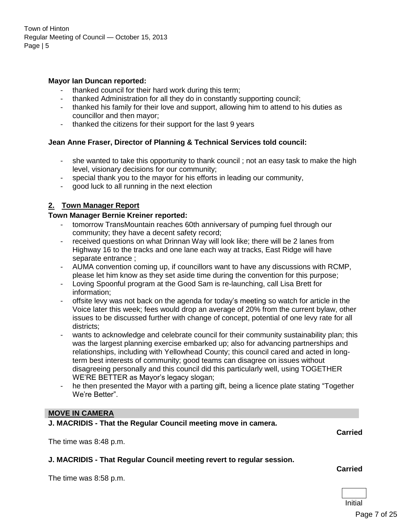#### **Mayor Ian Duncan reported:**

- thanked council for their hard work during this term;
- thanked Administration for all they do in constantly supporting council;
- thanked his family for their love and support, allowing him to attend to his duties as councillor and then mayor;
- thanked the citizens for their support for the last 9 years

#### **Jean Anne Fraser, Director of Planning & Technical Services told council:**

- she wanted to take this opportunity to thank council ; not an easy task to make the high level, visionary decisions for our community;
- special thank you to the mayor for his efforts in leading our community,
- good luck to all running in the next election

#### **2. Town Manager Report**

#### **Town Manager Bernie Kreiner reported:**

- tomorrow TransMountain reaches 60th anniversary of pumping fuel through our community; they have a decent safety record;
- received questions on what Drinnan Way will look like; there will be 2 lanes from Highway 16 to the tracks and one lane each way at tracks, East Ridge will have separate entrance ;
- AUMA convention coming up, if councillors want to have any discussions with RCMP, please let him know as they set aside time during the convention for this purpose;
- Loving Spoonful program at the Good Sam is re-launching, call Lisa Brett for information;
- offsite levy was not back on the agenda for today's meeting so watch for article in the Voice later this week; fees would drop an average of 20% from the current bylaw, other issues to be discussed further with change of concept, potential of one levy rate for all districts;
- wants to acknowledge and celebrate council for their community sustainability plan; this was the largest planning exercise embarked up; also for advancing partnerships and relationships, including with Yellowhead County; this council cared and acted in longterm best interests of community; good teams can disagree on issues without disagreeing personally and this council did this particularly well, using TOGETHER WE'RE BETTER as Mayor's legacy slogan;
- he then presented the Mayor with a parting gift, being a licence plate stating "Together" We're Better".

#### **MOVE IN CAMERA**

**J. MACRIDIS - That the Regular Council meeting move in camera.**

The time was 8:48 p.m.

**J. MACRIDIS - That Regular Council meeting revert to regular session.**

The time was 8:58 p.m.

#### **Carried**

**Carried**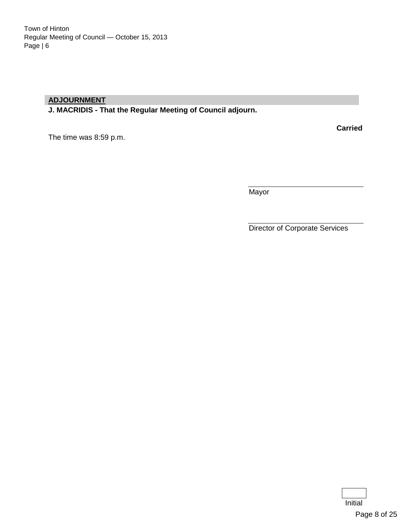#### **ADJOURNMENT**

**J. MACRIDIS - That the Regular Meeting of Council adjourn.**

**Carried**

The time was 8:59 p.m.

**Mayor** 

Director of Corporate Services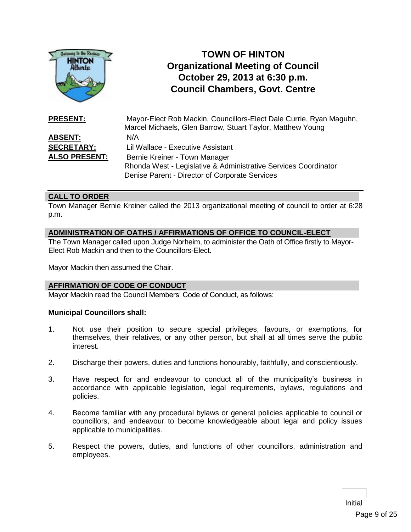

# **TOWN OF HINTON Organizational Meeting of Council October 29, 2013 at 6:30 p.m. Council Chambers, Govt. Centre**

| <b>PRESENT:</b>      | Mayor-Elect Rob Mackin, Councillors-Elect Dale Currie, Ryan Maguhn,<br>Marcel Michaels, Glen Barrow, Stuart Taylor, Matthew Young |
|----------------------|-----------------------------------------------------------------------------------------------------------------------------------|
| <b>ABSENT:</b>       | N/A                                                                                                                               |
| <b>SECRETARY:</b>    | Lil Wallace - Executive Assistant                                                                                                 |
| <b>ALSO PRESENT:</b> | Bernie Kreiner - Town Manager                                                                                                     |
|                      | Rhonda West - Legislative & Administrative Services Coordinator                                                                   |
|                      | Denise Parent - Director of Corporate Services                                                                                    |

#### **CALL TO ORDER**

Town Manager Bernie Kreiner called the 2013 organizational meeting of council to order at 6:28 p.m.

#### **ADMINISTRATION OF OATHS / AFFIRMATIONS OF OFFICE TO COUNCIL-ELECT**

The Town Manager called upon Judge Norheim, to administer the Oath of Office firstly to Mayor-Elect Rob Mackin and then to the Councillors-Elect.

Mayor Mackin then assumed the Chair.

#### **AFFIRMATION OF CODE OF CONDUCT**

Mayor Mackin read the Council Members' Code of Conduct, as follows:

#### **Municipal Councillors shall:**

- 1. Not use their position to secure special privileges, favours, or exemptions, for themselves, their relatives, or any other person, but shall at all times serve the public interest.
- 2. Discharge their powers, duties and functions honourably, faithfully, and conscientiously.
- 3. Have respect for and endeavour to conduct all of the municipality's business in accordance with applicable legislation, legal requirements, bylaws, regulations and policies.
- 4. Become familiar with any procedural bylaws or general policies applicable to council or councillors, and endeavour to become knowledgeable about legal and policy issues applicable to municipalities.
- 5. Respect the powers, duties, and functions of other councillors, administration and employees.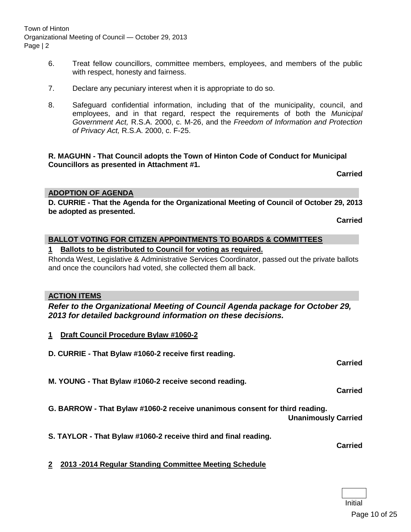Town of Hinton Organizational Meeting of Council — October 29, 2013 Page | 2

- 6. Treat fellow councillors, committee members, employees, and members of the public with respect, honesty and fairness.
- 7. Declare any pecuniary interest when it is appropriate to do so.
- 8. Safeguard confidential information, including that of the municipality, council, and employees, and in that regard, respect the requirements of both the *Municipal Government Act,* R.S.A. 2000, c. M-26, and the *Freedom of Information and Protection of Privacy Act,* R.S.A. 2000, c. F-25.

#### **R. MAGUHN - That Council adopts the Town of Hinton Code of Conduct for Municipal Councillors as presented in Attachment #1.**

**Carried**

#### **ADOPTION OF AGENDA**

**D. CURRIE - That the Agenda for the Organizational Meeting of Council of October 29, 2013 be adopted as presented.**

**Carried**

#### **BALLOT VOTING FOR CITIZEN APPOINTMENTS TO BOARDS & COMMITTEES**

#### **1 Ballots to be distributed to Council for voting as required.**

Rhonda West, Legislative & Administrative Services Coordinator, passed out the private ballots and once the councilors had voted, she collected them all back.

#### **ACTION ITEMS**

#### *Refer to the Organizational Meeting of Council Agenda package for October 29, 2013 for detailed background information on these decisions.*

- **1 Draft Council Procedure Bylaw #1060-2**
- **D. CURRIE - That Bylaw #1060-2 receive first reading.**
- **M. YOUNG - That Bylaw #1060-2 receive second reading.**

**Carried**

**Carried**

**G. BARROW - That Bylaw #1060-2 receive unanimous consent for third reading.**

**Unanimously Carried**

**S. TAYLOR - That Bylaw #1060-2 receive third and final reading.**

**Carried**

**2 2013 -2014 Regular Standing Committee Meeting Schedule**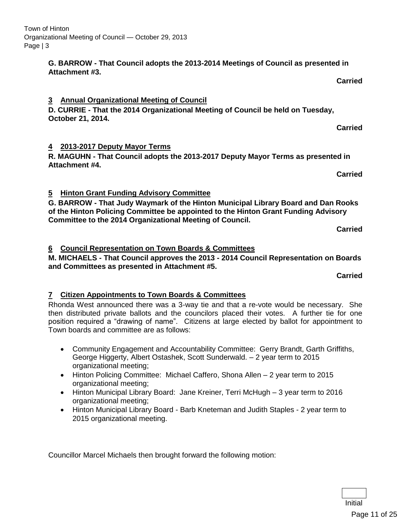#### **G. BARROW - That Council adopts the 2013-2014 Meetings of Council as presented in Attachment #3.**

#### **3 Annual Organizational Meeting of Council**

**D. CURRIE - That the 2014 Organizational Meeting of Council be held on Tuesday, October 21, 2014.**

#### **4 2013-2017 Deputy Mayor Terms**

**R. MAGUHN - That Council adopts the 2013-2017 Deputy Mayor Terms as presented in Attachment #4.**

**Carried**

**Carried**

**Carried**

#### **5 Hinton Grant Funding Advisory Committee**

**G. BARROW - That Judy Waymark of the Hinton Municipal Library Board and Dan Rooks of the Hinton Policing Committee be appointed to the Hinton Grant Funding Advisory Committee to the 2014 Organizational Meeting of Council.**

**Carried**

#### **6 Council Representation on Town Boards & Committees**

**M. MICHAELS - That Council approves the 2013 - 2014 Council Representation on Boards and Committees as presented in Attachment #5.**

**Carried**

#### **7 Citizen Appointments to Town Boards & Committees**

Rhonda West announced there was a 3-way tie and that a re-vote would be necessary. She then distributed private ballots and the councilors placed their votes. A further tie for one position required a "drawing of name". Citizens at large elected by ballot for appointment to Town boards and committee are as follows:

- Community Engagement and Accountability Committee: Gerry Brandt, Garth Griffiths, George Higgerty, Albert Ostashek, Scott Sunderwald. – 2 year term to 2015 organizational meeting;
- Hinton Policing Committee: Michael Caffero, Shona Allen 2 year term to 2015 organizational meeting;
- Hinton Municipal Library Board: Jane Kreiner, Terri McHugh 3 year term to 2016 organizational meeting;
- Hinton Municipal Library Board Barb Kneteman and Judith Staples 2 year term to 2015 organizational meeting.

Councillor Marcel Michaels then brought forward the following motion: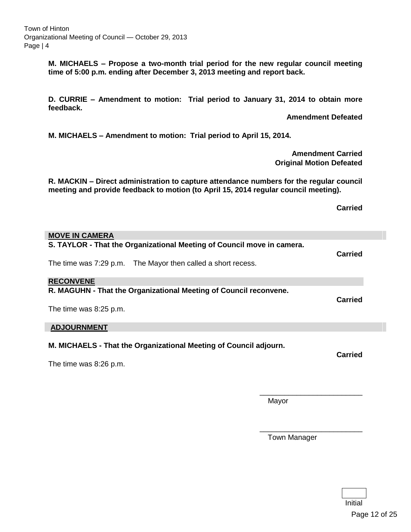**M. MICHAELS – Propose a two-month trial period for the new regular council meeting time of 5:00 p.m. ending after December 3, 2013 meeting and report back.**

**D. CURRIE – Amendment to motion: Trial period to January 31, 2014 to obtain more feedback.**

**Amendment Defeated**

**M. MICHAELS – Amendment to motion: Trial period to April 15, 2014.**

**Amendment Carried Original Motion Defeated**

**R. MACKIN – Direct administration to capture attendance numbers for the regular council meeting and provide feedback to motion (to April 15, 2014 regular council meeting).**

**Carried**

| <b>MOVE IN CAMERA</b>                                                  |       |                |
|------------------------------------------------------------------------|-------|----------------|
| S. TAYLOR - That the Organizational Meeting of Council move in camera. |       | <b>Carried</b> |
| The time was 7:29 p.m. The Mayor then called a short recess.           |       |                |
| <b>RECONVENE</b>                                                       |       |                |
| R. MAGUHN - That the Organizational Meeting of Council reconvene.      |       | <b>Carried</b> |
| The time was 8:25 p.m.                                                 |       |                |
| <b>ADJOURNMENT</b>                                                     |       |                |
| M. MICHAELS - That the Organizational Meeting of Council adjourn.      |       | <b>Carried</b> |
| The time was 8:26 p.m.                                                 |       |                |
|                                                                        |       |                |
|                                                                        | Mayor |                |

Town Manager

\_\_\_\_\_\_\_\_\_\_\_\_\_\_\_\_\_\_\_\_\_\_\_\_\_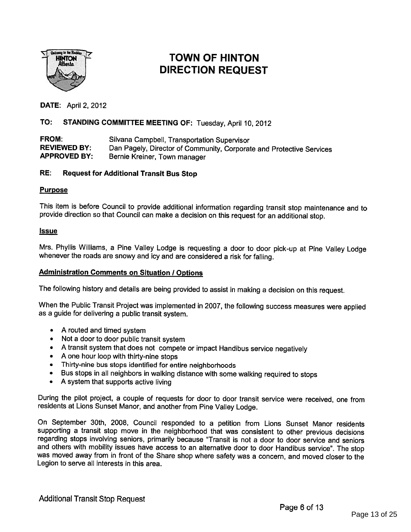

# **HINTON 1. DIRECTION REQUEST**<br>Atherta 1. DIRECTION REQUEST

**DATE: April 2, 2012** 

#### TO: STANDING COMMITTEE MEETING OF: Tuesday, April 10, <sup>2012</sup>

**FROM:** Silvana Campbell, Transportation Supervisor<br> **REVIEWED BY:** Dan Pagely Director of Community, Corporation REVIEWED BY: Dan Pagely, Director of Community, Corporate and Protective Services<br>APPROVED BY: Bernie Kreiner, Town manager Bernie Kreiner, Town manager

#### RE: Request for Additional Transit Bus Stop

#### Purpose

This item is before Council to provide additional information regarding transit stop maintenance and to provide direction so that Council can make <sup>a</sup> decision on this request for an additional stop.

#### Issue

Mrs. Phyllis Williams, <sup>a</sup> Pine Valley Lodge is requesting <sup>a</sup> door to door <sup>p</sup>ick-up at Pine Valley Lodge whenever the roads are snowy and icy and are considered <sup>a</sup> risk for falling.

#### **Administration Comments on Situation / Options**

The following history and details are being provided to assist in making <sup>a</sup> decision on this request.

When the Public Transit Project was implemented in 2007, the following success measures were applied as <sup>a</sup> guide for delivering <sup>a</sup> public transit system.

- A routed and timed system
- Not <sup>a</sup> door to door public transit system
- •<sup>A</sup> transit system that does not compete or impact Handibus service negatively
- •<sup>A</sup> one hour loop with thirty-nine stops
- •Thirty-nine bus stops identified for entire neighborhoods
- $\bullet$ Bus stops in all neighbors in walking distance with some walking required to stops
- •A system that supports active living

During the <sup>p</sup>ilot project, <sup>a</sup> couple of requests for door to door transit service were received, one from residents at Lions Sunset Manor, and another from Pine Valley Lodge.

On September 30th, 2008, Council responded to <sup>a</sup> petition from Lions Sunset Manor residents supporting <sup>a</sup> transit stop move in the neighborhood that was consistent to other previous decisions regarding stops involving seniors, primarily because "Transit is not <sup>a</sup> door to door service and seniors and others with mobility issues have access to an alternative door to door Handibus service". The stop was moved away from in front of the Share shop where safety was <sup>a</sup> concern, and moved closer to the Legion to serve all interests in this area.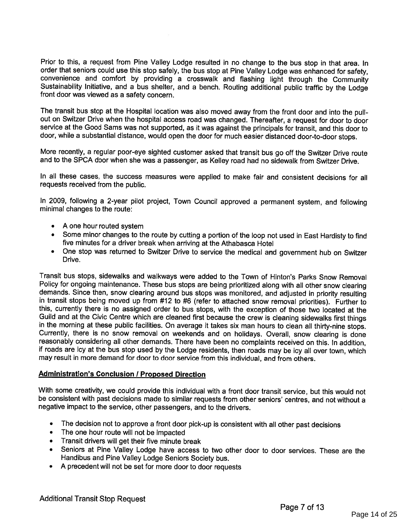Prior to this, <sup>a</sup> request from Pine Valley Lodge resulted in no change to the bus stop in that area. In order that seniors could use this stop safely, the bus stop at Pine Valley Lodge was enhanced for safety, convenience and comfort by providing a crosswalk and flashing light through the Community Sustainability Initiative, and a bus shelter, and a bench. Routing additional public traffic by the Lodge front door was viewed as a safety concern.

The transit bus stop at the Hospital location was also moved away from the front door and into the pull out on Switzer Drive when the hospital access road was changed. Thereafter, <sup>a</sup> request for door to door service at the Good Sams was not supported, as it was against the principals for transit, and this door to door, while <sup>a</sup> substantial distance, would open the door for much easier distanced door-to-door stops.

More recently, <sup>a</sup> regular poor-eye sighted customer asked that transit bus go off the Switzer Drive route and to the SPCA door when she was <sup>a</sup> passenger, as Kelley road had no sidewalk from Switzer Drive.

In all these cases, the success measures were applied to make fair and consistent decisions for all requests received from the public.

In 2009, following <sup>a</sup> 2-year <sup>p</sup>ilot project, Town Council approved <sup>a</sup> permanent system, and following minimal changes to the route:

- A one hour routed system
- Some minor changes to the route by cutting <sup>a</sup> portion of the loop not used in East Hardisty to find five minutes for <sup>a</sup> driver break when arriving at the Athabasca Hotel
- One stop was returned to Switzer Drive to service the medical and government hub on Switzer Drive.

Transit bus stops, sidewalks and walkways were added to the Town of Hinton's Parks Snow Removal demands. Since then, snow clearing around bus stops was monitored, and adjusted in priority resulting<br>in transit stops being moved up from #12 to #6 (refer to attached snow removal priorities). Further to this, currently there is no assigned order to bus stops, with the exception of those two located at the Guild and at the Civic Centre which are cleaned first because the crew is cleaning sidewalks first things in the morning at these public facilities. On average it takes six man hours to clean all thirty-nine stops. Currently, there is no snow removal on weekends and on holidays. Overall, snow clearing is done reasonably considering all other demands. There have been no complaints received on this. In addition, if roads are icy at the bus stop used by the Lodge residents, then roads may be icy all over town, which may result in more demand for door to door service from this individual, and from others.

#### **Administration's Conclusion / Proposed Direction**

With some creativity, we could provide this individual with <sup>a</sup> front door transit service, but this would not be consistent with past decisions made to similar requests from other seniors' centres, and not without <sup>a</sup> negative impact to the service, other passengers, and to the drivers.

- •The decision not to approve <sup>a</sup> front door <sup>p</sup>ick-up is consistent with all other past decisions
- •The one hour route will not be impacted
- Transit drivers will get their five minute break
- Seniors at Pine Valley Lodge have access to two other door to door services. These are the Handibus and Pine Valley Lodge Seniors Society bus.
- •<sup>A</sup> precedent will not be set for more door to door requests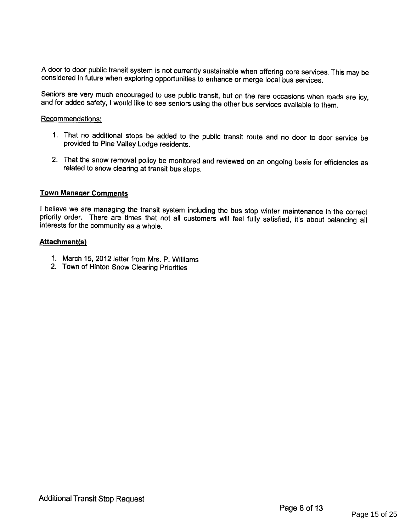<sup>A</sup> door to door public transit system is not currently sustainable when offering core services. This may be considered in future when exploring opportunities to enhance or merge local bus services.

Seniors are very much encouraged to use public transit, but on the rare occasions when roads are icy, and for added safety, I would like to see seniors using the other bus services available to them.

#### Recommendations:

- 1. That no additional stops be added to the public transit route and no door to door service be provided to Pine Valley Lodge residents.
- 2. That the snow removal policy be monitored and reviewed on an ongoing basis for efficiencies as related to snow clearing at transit bus stops.

#### Town Manager Comments

<sup>I</sup> believe we are managing the transit system including the bus stop winter maintenance in the correct priority order. There are times that not all customers will feel fully satisfied, it's about balancing all interests for the community as a whole.

#### Attachment(s)

- 1. March 15, 2012 letter from Mrs. P. Williams
- 2. Town of Hinton Snow Clearing Priorities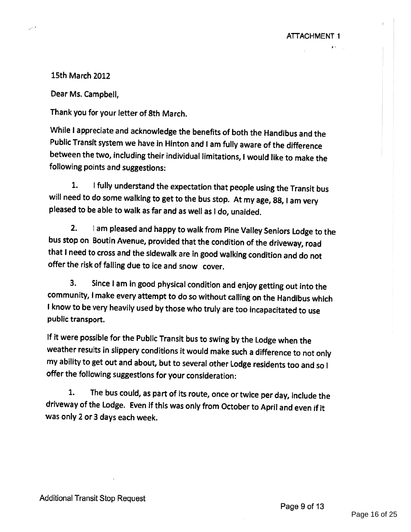15th March 2012

Dear Ms. Campbell,

Thank you for your letter of 8th March.

While <sup>I</sup> appreciate and acknowledge the benefits of both the Handibus and the Public Transit system we have in Hinton and <sup>I</sup> am fully aware of the difference between the two, including their individual limitations, <sup>I</sup> would like to make the following points and suggestions:

1. <sup>I</sup> fully understand the expectation that people using the Transit bus will need to do some walking to get to the bus stop. At my age, 88, <sup>I</sup> am very <sup>p</sup>leased to be able to walk as far and as well as <sup>I</sup> do, unaided.

2. <sup>I</sup> am <sup>p</sup>leased and happy to walk from Pine Valley Seniors Lodge to the bus stop on Boutin Avenue, provided that the condition of the driveway, road that <sup>I</sup> need to cross and the sidewalk are in good walking condition and do not offer the risk of falling due to ice and snow cover.

3. Since <sup>I</sup> am in good <sup>p</sup>hysical condition and enjoy getting out into the community, <sup>I</sup> make every attempt to do so without calling on the Handibus which <sup>I</sup> know to be very heavily used by those who truly are too incapacitated to use public transport.

If it were possible for the Public Transit bus to swing by the Lodge when the weather results in slippery conditions it would make such <sup>a</sup> difference to not only my ability to get out and about, but to several other Lodge residents too and so <sup>I</sup> offer the following suggestions for your consideration:

1. The bus could, as part of its route, once or twice per day, include the driveway of the Lodge. Even if this was only from October to April and even if it was only 2 or 3 days each week.

ATTACHMENT 1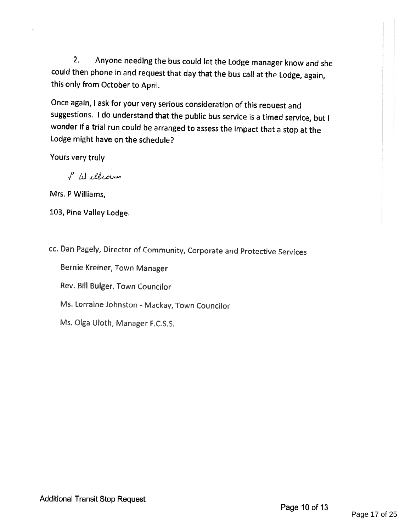2. Anyone needing the bus could let the Lodge manager know and she could then <sup>p</sup>hone in and request that day that the bus call at the Lodge, again, this only from October to April.

Once again, <sup>I</sup> ask for your very serious consideration of this request and suggestions. <sup>I</sup> do understand that the public bus service is <sup>a</sup> timed service, but <sup>I</sup> wonder if <sup>a</sup> trial run could be arranged to assess the impact that <sup>a</sup> stop at the Lodge might have on the schedule?

Yours very truly

/Li

Mrs. P Williams,

103, Pine Valley Lodge.

cc. Dan Pagely, Director of Community, Corporate and Protective Services

Bernie Kreiner, Town Manager

Rev. Bill Bulger, Town Councilor

Ms. Lorraine Johnston - Mackay, Town Councilor

Ms. Olga Uloth, Manager F.C.S.S.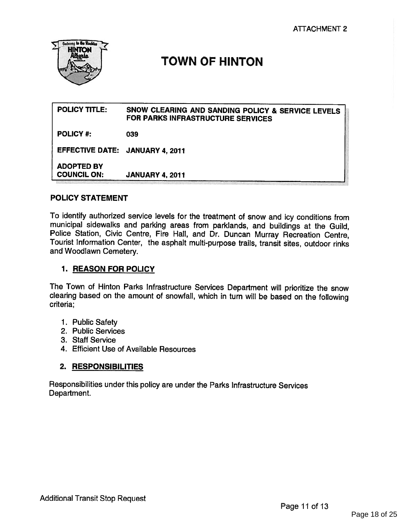

# TOWN OF HINTON

| <b>POLICY TITLE:</b>                    | SNOW CLEARING AND SANDING POLICY & SERVICE LEVELS<br>FOR PARKS INFRASTRUCTURE SERVICES |
|-----------------------------------------|----------------------------------------------------------------------------------------|
| <b>POLICY #:</b>                        | 039                                                                                    |
| EFFECTIVE DATE: JANUARY 4, 2011         |                                                                                        |
| <b>ADOPTED BY</b><br><b>COUNCIL ON:</b> | <b>JANUARY 4, 2011</b>                                                                 |

#### POLICY STATEMENT

To identify authorized service levels for the treatment of snow and icy conditions from municipal sidewalks and parking areas from parklands, and buildings at the Guild, Police Station, Civic Centre, Fire Hall, and Dr. Duncan Murray Recreation Centre, Tourist Information Center, the asphalt multi-purpose trails, transit sites, outdoor rinks and Woodlawn Cemetery.

#### 1. REASON FOR POLICY

The Town of Hinton Parks Infrastructure Services Department will prioritize the snow clearing based on the amount of snowfall, which in turn will be based on the following criteria;

- 1. Public Safety
- 2. Public Services
- 3. Staff Service
- 4. Efficient Use of Available Resources

#### 2. RESPONSIBILITIES

Responsibilities under this policy are under the Parks Infrastructure Services Department.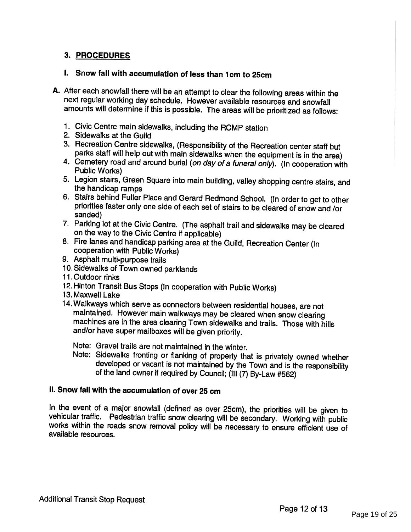#### 3. PROCEDURES

#### I. Snow fall with accumulation of less than 1cm to 25cm

- A. After each snowfall there will be an attempt to clear the following areas within the next regular working day schedule. However available resources and snowfall amounts will determine if this is possible. The areas will be prioritized as follows:
	- 1. Civic Centre main sidewalks, including the RCMP station
	- 2. Sidewalks at the Guild
	- 3. Recreation Centre sidewalks, (Responsibility of the Recreation center staff but
	- 4. Cemetery road and around burial (on day of a funeral only). (In cooperation with Public Works)
	- 5. Legion stairs, Green Square into main building, valley shopping centre stairs, and the handicap ramps
	- 6. Stairs behind Fuller Place and Gerard Redmond School. (In order to get to other priorities faster only one side of each set of stairs to be cleared of snow and /or sanded)
	- 7. Parking lot at the Civic Centre. (The asphalt trail and sidewalks may be cleared on the way to the Civic Centre if applicable)
	- 8. Fire lanes and handicap parking area at the Guild, Recreation Center (In cooperation with Public Works)
	- 9. Asphalt multi-purpose trails
	- 10. Sidewalks of Town owned parklands
	- 11 .Outdoor rinks
	- 12. Hinton Transit Bus Stops (In cooperation with Public Works)
	- 13. Maxwell Lake
	- 14. Walkways which serve as connectors between residential houses, are not maintained. However main walkways may be cleared when snow clearing machines are in the area clearing Town sidewalks and trails. Those with hills and/or have super mailboxes will be <sup>g</sup>iven priority.

Note: Gravel trails are not maintained in the winter.<br>Note: Sidewalks fronting or flanking of property that is privately owned whether developed or vacant is not maintained by the Town and is the responsibility of the land owner if required by Council; (III (7) By-Law #562)

#### II. Snow fall with the accumulation of over 25 cm

In the event of a major snowfall (defined as over 25cm), the priorities will be given to vehicular traffic. Pedestrian traffic snow clearing will be secondary. Working with public works within the roads snow removal policy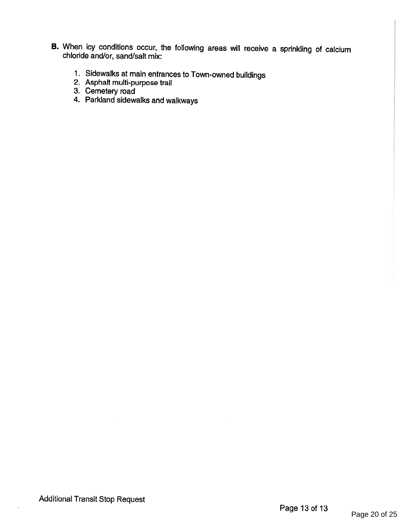- B. When icy conditions occur, the following areas will receive <sup>a</sup> sprinkling of calcium chloride and/or, sand/salt mix:
	- 1. Sidewalks at main entrances to Town-owned buildings
	- 2. Asphalt multi-purpose trail
	- 3. Cemetery road
	- 4. Parkland sidewalks and walkways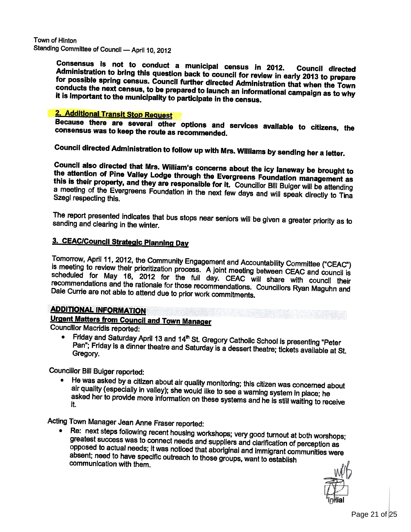Town of Hinton Standing Committee of Council — April 10, <sup>2012</sup>

> Administration Consensus is not to conduct a municipal census in 2012. Council directed<br>Administration to bring this question back to council for review in early 2013 to prepare<br>for possible spring census. Council further directed Admini it is important to the municipality to participate in the census. for possible spring census. Council further directed Administration that when the Town<br>conducts the next census, to be prepared to launch an informational campaign as to why

# 2. Additional Transit Stop Request

consensus was Because there are several other options and services available to citizens, the<br>consensus was to keep the route as recommended.

Council directed Administration to follow up with Mrs. Williams by sending her <sup>a</sup> letter.

the attention Council also directed that Mrs. William's concerns about the icy laneway be brought to this is their property, and they are responsible for it. Councillor Bill Bulger will be attending Szegi respecting this. a meeting of the Evergreens Foundation in the next few days and will speak directly to Tina

sanding and clearing in the winter. The report presented indicates that bus stops near seniors will be given a greater priority as to

#### 3. CEAC/Council Strategic Planning Day

Tomorrow, April 11, 2012, the Community Engagement and Accountability Committee ("CEAC") is meeting to review their prioritization process. A joint meeting between CEAC and council is scheduled for May 16, 2012 for the ful Dale Currie recommendations and the rationale for those recommendations. Councillors Ryan Maguhn and<br>Dale Currie are not able to attend due to prior work commitments.

#### ADDITIONAL INFORMATION

Urgent Matters from Council and Town Manager Councillor Macridis reported:

• Friday and Saturday April 13 and 14<sup>th</sup> St. Gregory Catholic School is presenting "Peter<br>Pan": Eriday is a dinner theatre and O.U. Gregory. Pan"; Friday is <sup>a</sup> dinner theatre and Saturday is <sup>a</sup> dessert theatre; tickets available at St.

Councillor Bill Bulger reported: air quality (especially in valley); she would like to see a warning system in place; he<br>asked her to provide more information on these systems and he is still waiting to receive<br>it.

Acting Town Manager Jean Anne Fraser reported:<br>• Re: next steps following recent housing workshops; very good turnout at both worshops; •greatest success was to connect needs and suppliers and clarification of perception as opposed to actual needs; it was noticed that aboriginal and immigrant communities were absent; need to have specific outreach to those

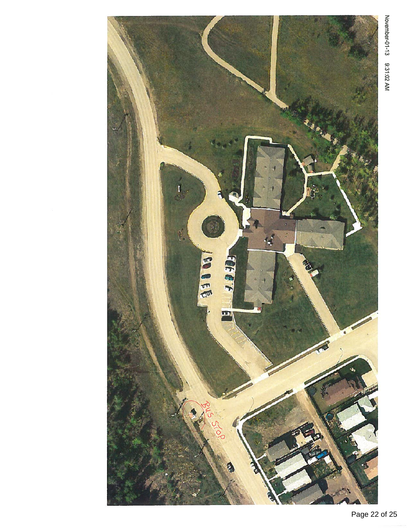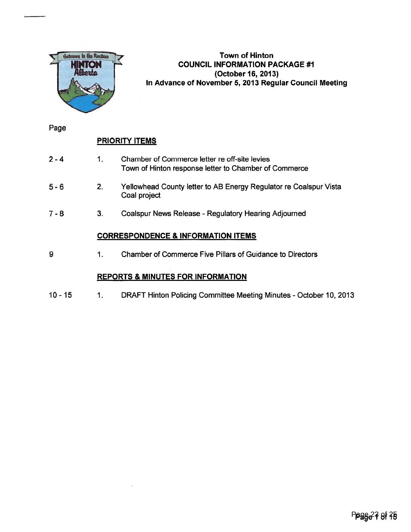

#### Town of Hinton COUNCIL INFORMATION PACKAGE #1 (October 16, 2013) In Advance of November 5, 2013 Regular Council Meeting

Page

### PRIORITY ITEMS

- 1 Chamber of Commerce letter re off-site levies Town of Hinton response letter to Chamber of Commerce 2-4
- 2. Yellowhead County letter to AB Energy Regulator re Coalspur Vista Coal project 5-6
- 3. Coalspur News Release Regulatory Hearing Adjourned 7-8

#### CORRESPONDENCE & INFORMATION ITEMS

9 1. Chamber of Commerce Five Pillars of Guidance to Directors

#### REPORTS & MINUTES FOR INFORMATION

10 - 15 1. DRAFT Hinton Policing Committee Meeting Minutes - October 10, 2013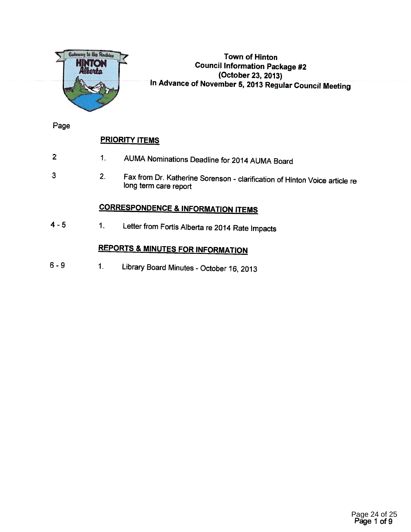

#### Town of Hinton Council Information Package #2 (October 23, 2013) In Advance of November 5, <sup>2013</sup> Regular Council Meeting

Page

3

### **PRIORITY ITEMS**

- 1. AUMA Nominations Deadline for <sup>2014</sup> AUMA Board 2
	- 2. Fax from Dr. Katherine Sorenson clarification of Hinton Voice article re long term care report

# CORRESPONDENCE & INFORMATION ITEMS

<sup>4</sup> - <sup>5</sup> 1. Letter from Fortis Alberta re <sup>2014</sup> Rate Impacts

# REPORTS & MINUTES FOR INFORMATION

<sup>6</sup> - <sup>9</sup> 1. Library Board Minutes -October 16, <sup>2013</sup>